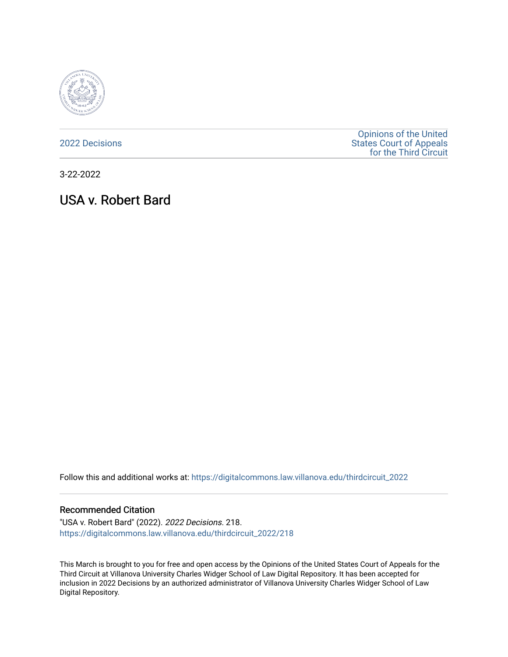

[2022 Decisions](https://digitalcommons.law.villanova.edu/thirdcircuit_2022)

[Opinions of the United](https://digitalcommons.law.villanova.edu/thirdcircuit)  [States Court of Appeals](https://digitalcommons.law.villanova.edu/thirdcircuit)  [for the Third Circuit](https://digitalcommons.law.villanova.edu/thirdcircuit) 

3-22-2022

# USA v. Robert Bard

Follow this and additional works at: [https://digitalcommons.law.villanova.edu/thirdcircuit\\_2022](https://digitalcommons.law.villanova.edu/thirdcircuit_2022?utm_source=digitalcommons.law.villanova.edu%2Fthirdcircuit_2022%2F218&utm_medium=PDF&utm_campaign=PDFCoverPages) 

### Recommended Citation

"USA v. Robert Bard" (2022). 2022 Decisions. 218. [https://digitalcommons.law.villanova.edu/thirdcircuit\\_2022/218](https://digitalcommons.law.villanova.edu/thirdcircuit_2022/218?utm_source=digitalcommons.law.villanova.edu%2Fthirdcircuit_2022%2F218&utm_medium=PDF&utm_campaign=PDFCoverPages)

This March is brought to you for free and open access by the Opinions of the United States Court of Appeals for the Third Circuit at Villanova University Charles Widger School of Law Digital Repository. It has been accepted for inclusion in 2022 Decisions by an authorized administrator of Villanova University Charles Widger School of Law Digital Repository.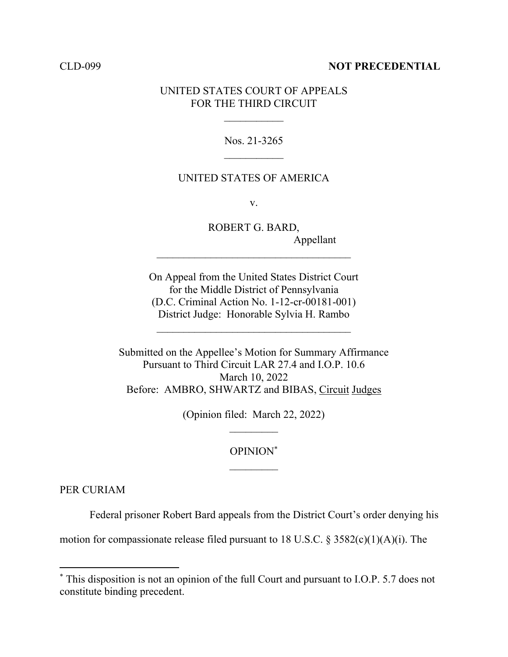## CLD-099 **NOT PRECEDENTIAL**

# UNITED STATES COURT OF APPEALS FOR THE THIRD CIRCUIT

Nos. 21-3265

### UNITED STATES OF AMERICA

v.

ROBERT G. BARD, Appellant

On Appeal from the United States District Court for the Middle District of Pennsylvania (D.C. Criminal Action No. 1-12-cr-00181-001) District Judge: Honorable Sylvia H. Rambo

 $\mathcal{L}_\text{max}$ 

 $\mathcal{L}_\text{max}$  , where  $\mathcal{L}_\text{max}$  and  $\mathcal{L}_\text{max}$  and  $\mathcal{L}_\text{max}$ 

Submitted on the Appellee's Motion for Summary Affirmance Pursuant to Third Circuit LAR 27.4 and I.O.P. 10.6 March 10, 2022 Before: AMBRO, SHWARTZ and BIBAS, Circuit Judges

(Opinion filed: March 22, 2022)

OPINION\*

PER CURIAM

Federal prisoner Robert Bard appeals from the District Court's order denying his

motion for compassionate release filed pursuant to 18 U.S.C.  $\S 3582(c)(1)(A)(i)$ . The

<sup>\*</sup> This disposition is not an opinion of the full Court and pursuant to I.O.P. 5.7 does not constitute binding precedent.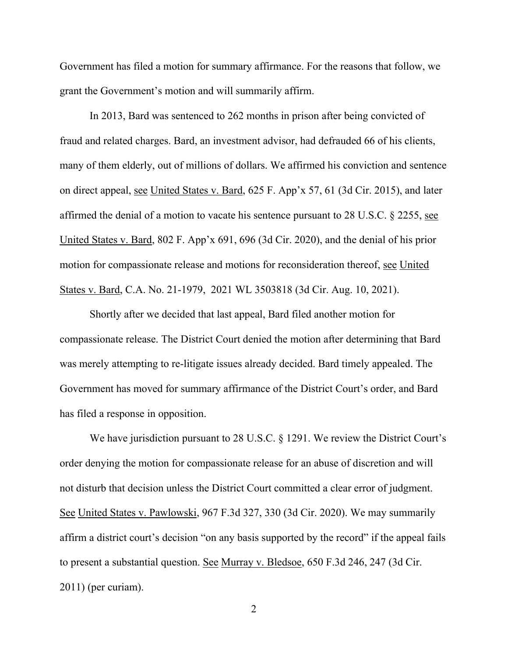Government has filed a motion for summary affirmance. For the reasons that follow, we grant the Government's motion and will summarily affirm.

In 2013, Bard was sentenced to 262 months in prison after being convicted of fraud and related charges. Bard, an investment advisor, had defrauded 66 of his clients, many of them elderly, out of millions of dollars. We affirmed his conviction and sentence on direct appeal, see United States v. Bard, 625 F. App'x 57, 61 (3d Cir. 2015), and later affirmed the denial of a motion to vacate his sentence pursuant to 28 U.S.C. § 2255, see United States v. Bard, 802 F. App'x 691, 696 (3d Cir. 2020), and the denial of his prior motion for compassionate release and motions for reconsideration thereof, see United States v. Bard, C.A. No. 21-1979, 2021 WL 3503818 (3d Cir. Aug. 10, 2021).

Shortly after we decided that last appeal, Bard filed another motion for compassionate release. The District Court denied the motion after determining that Bard was merely attempting to re-litigate issues already decided. Bard timely appealed. The Government has moved for summary affirmance of the District Court's order, and Bard has filed a response in opposition.

We have jurisdiction pursuant to 28 U.S.C. § 1291. We review the District Court's order denying the motion for compassionate release for an abuse of discretion and will not disturb that decision unless the District Court committed a clear error of judgment. See United States v. Pawlowski, 967 F.3d 327, 330 (3d Cir. 2020). We may summarily affirm a district court's decision "on any basis supported by the record" if the appeal fails to present a substantial question. See Murray v. Bledsoe, 650 F.3d 246, 247 (3d Cir. 2011) (per curiam).

2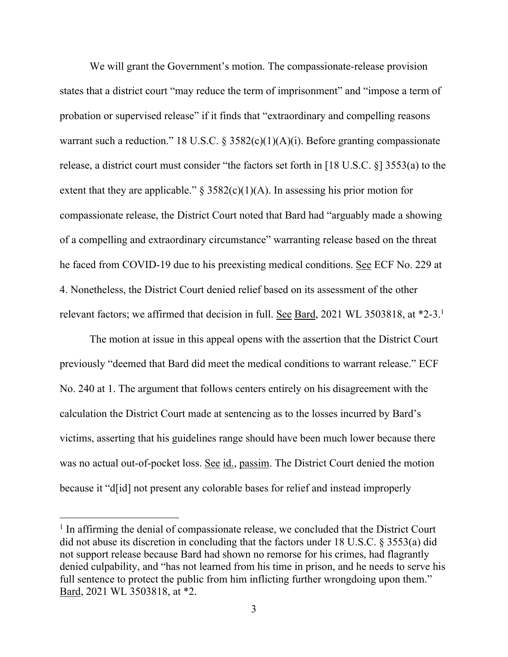We will grant the Government's motion. The compassionate-release provision states that a district court "may reduce the term of imprisonment" and "impose a term of probation or supervised release" if it finds that "extraordinary and compelling reasons warrant such a reduction." 18 U.S.C. §  $3582(c)(1)(A)(i)$ . Before granting compassionate release, a district court must consider "the factors set forth in [18 U.S.C. §] 3553(a) to the extent that they are applicable."  $\S$  3582(c)(1)(A). In assessing his prior motion for compassionate release, the District Court noted that Bard had "arguably made a showing of a compelling and extraordinary circumstance" warranting release based on the threat he faced from COVID-19 due to his preexisting medical conditions. See ECF No. 229 at 4. Nonetheless, the District Court denied relief based on its assessment of the other relevant factors; we affirmed that decision in full. See Bard, 2021 WL 3503818, at  $*2-3$ .<sup>1</sup>

The motion at issue in this appeal opens with the assertion that the District Court previously "deemed that Bard did meet the medical conditions to warrant release." ECF No. 240 at 1. The argument that follows centers entirely on his disagreement with the calculation the District Court made at sentencing as to the losses incurred by Bard's victims, asserting that his guidelines range should have been much lower because there was no actual out-of-pocket loss. See id., passim. The District Court denied the motion because it "d[id] not present any colorable bases for relief and instead improperly

<sup>&</sup>lt;sup>1</sup> In affirming the denial of compassionate release, we concluded that the District Court did not abuse its discretion in concluding that the factors under 18 U.S.C. § 3553(a) did not support release because Bard had shown no remorse for his crimes, had flagrantly denied culpability, and "has not learned from his time in prison, and he needs to serve his full sentence to protect the public from him inflicting further wrongdoing upon them." Bard, 2021 WL 3503818, at \*2.